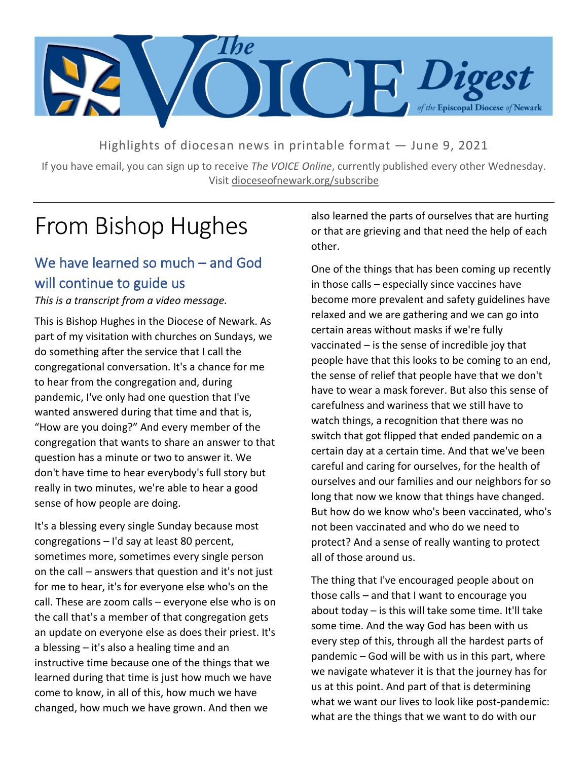

Highlights of diocesan news in printable format — June 9, 2021

If you have email, you can sign up to receive *The VOICE Online*, currently published every other Wednesday. Visit dioceseofnewark.org/subscribe

## From Bishop Hughes

## We have learned so much – and God will continue to guide us

*This is a transcript from a video message.*

This is Bishop Hughes in the Diocese of Newark. As part of my visitation with churches on Sundays, we do something after the service that I call the congregational conversation. It's a chance for me to hear from the congregation and, during pandemic, I've only had one question that I've wanted answered during that time and that is, "How are you doing?" And every member of the congregation that wants to share an answer to that question has a minute or two to answer it. We don't have time to hear everybody's full story but really in two minutes, we're able to hear a good sense of how people are doing.

It's a blessing every single Sunday because most congregations – I'd say at least 80 percent, sometimes more, sometimes every single person on the call – answers that question and it's not just for me to hear, it's for everyone else who's on the call. These are zoom calls – everyone else who is on the call that's a member of that congregation gets an update on everyone else as does their priest. It's a blessing – it's also a healing time and an instructive time because one of the things that we learned during that time is just how much we have come to know, in all of this, how much we have changed, how much we have grown. And then we

also learned the parts of ourselves that are hurting or that are grieving and that need the help of each other.

One of the things that has been coming up recently in those calls – especially since vaccines have become more prevalent and safety guidelines have relaxed and we are gathering and we can go into certain areas without masks if we're fully vaccinated – is the sense of incredible joy that people have that this looks to be coming to an end, the sense of relief that people have that we don't have to wear a mask forever. But also this sense of carefulness and wariness that we still have to watch things, a recognition that there was no switch that got flipped that ended pandemic on a certain day at a certain time. And that we've been careful and caring for ourselves, for the health of ourselves and our families and our neighbors for so long that now we know that things have changed. But how do we know who's been vaccinated, who's not been vaccinated and who do we need to protect? And a sense of really wanting to protect all of those around us.

The thing that I've encouraged people about on those calls – and that I want to encourage you about today – is this will take some time. It'll take some time. And the way God has been with us every step of this, through all the hardest parts of pandemic – God will be with us in this part, where we navigate whatever it is that the journey has for us at this point. And part of that is determining what we want our lives to look like post-pandemic: what are the things that we want to do with our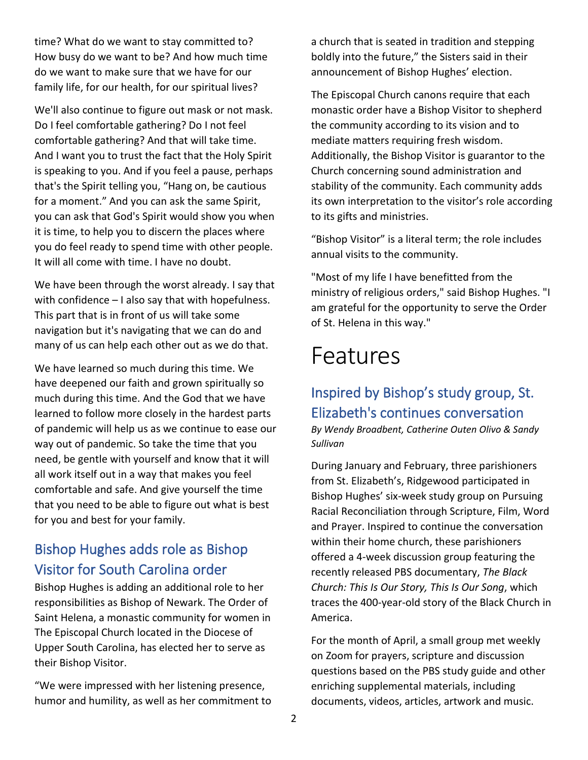time? What do we want to stay committed to? How busy do we want to be? And how much time do we want to make sure that we have for our family life, for our health, for our spiritual lives?

We'll also continue to figure out mask or not mask. Do I feel comfortable gathering? Do I not feel comfortable gathering? And that will take time. And I want you to trust the fact that the Holy Spirit is speaking to you. And if you feel a pause, perhaps that's the Spirit telling you, "Hang on, be cautious for a moment." And you can ask the same Spirit, you can ask that God's Spirit would show you when it is time, to help you to discern the places where you do feel ready to spend time with other people. It will all come with time. I have no doubt.

We have been through the worst already. I say that with confidence – I also say that with hopefulness. This part that is in front of us will take some navigation but it's navigating that we can do and many of us can help each other out as we do that.

We have learned so much during this time. We have deepened our faith and grown spiritually so much during this time. And the God that we have learned to follow more closely in the hardest parts of pandemic will help us as we continue to ease our way out of pandemic. So take the time that you need, be gentle with yourself and know that it will all work itself out in a way that makes you feel comfortable and safe. And give yourself the time that you need to be able to figure out what is best for you and best for your family.

## Bishop Hughes adds role as Bishop Visitor for South Carolina order

Bishop Hughes is adding an additional role to her responsibilities as Bishop of Newark. The Order of Saint Helena, a monastic community for women in The Episcopal Church located in the Diocese of Upper South Carolina, has elected her to serve as their Bishop Visitor.

"We were impressed with her listening presence, humor and humility, as well as her commitment to a church that is seated in tradition and stepping boldly into the future," the Sisters said in their announcement of Bishop Hughes' election.

The Episcopal Church canons require that each monastic order have a Bishop Visitor to shepherd the community according to its vision and to mediate matters requiring fresh wisdom. Additionally, the Bishop Visitor is guarantor to the Church concerning sound administration and stability of the community. Each community adds its own interpretation to the visitor's role according to its gifts and ministries.

"Bishop Visitor" is a literal term; the role includes annual visits to the community.

"Most of my life I have benefitted from the ministry of religious orders," said Bishop Hughes. "I am grateful for the opportunity to serve the Order of St. Helena in this way."

## Features

### Inspired by Bishop's study group, St. Elizabeth's continues conversation

*By Wendy Broadbent, Catherine Outen Olivo & Sandy Sullivan*

During January and February, three parishioners from St. Elizabeth's, Ridgewood participated in Bishop Hughes' six-week study group on Pursuing Racial Reconciliation through Scripture, Film, Word and Prayer. Inspired to continue the conversation within their home church, these parishioners offered a 4-week discussion group featuring the recently released PBS documentary, *The Black Church: This Is Our Story, This Is Our Song*, which traces the 400-year-old story of the Black Church in America.

For the month of April, a small group met weekly on Zoom for prayers, scripture and discussion questions based on the PBS study guide and other enriching supplemental materials, including documents, videos, articles, artwork and music.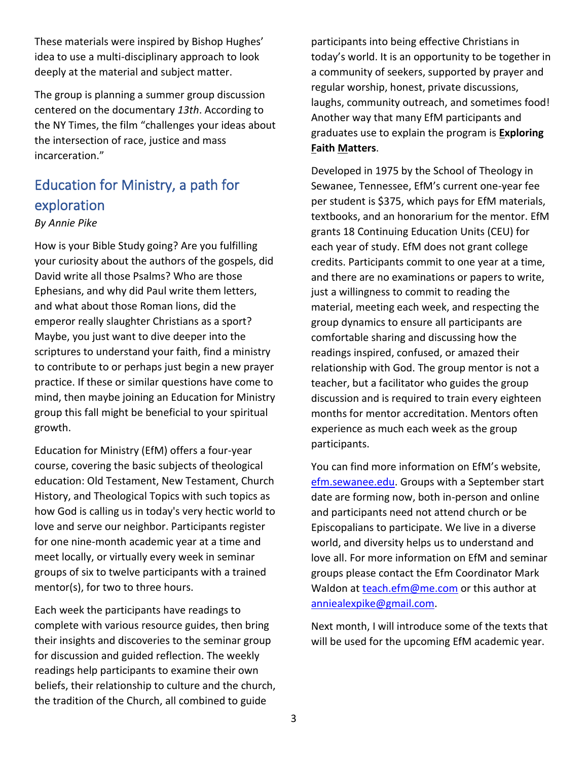These materials were inspired by Bishop Hughes' idea to use a multi-disciplinary approach to look deeply at the material and subject matter.

The group is planning a summer group discussion centered on the documentary *13th*. According to the NY Times, the film "challenges your ideas about the intersection of race, justice and mass incarceration."

## Education for Ministry, a path for exploration

#### *By Annie Pike*

How is your Bible Study going? Are you fulfilling your curiosity about the authors of the gospels, did David write all those Psalms? Who are those Ephesians, and why did Paul write them letters, and what about those Roman lions, did the emperor really slaughter Christians as a sport? Maybe, you just want to dive deeper into the scriptures to understand your faith, find a ministry to contribute to or perhaps just begin a new prayer practice. If these or similar questions have come to mind, then maybe joining an Education for Ministry group this fall might be beneficial to your spiritual growth.

Education for Ministry (EfM) offers a four-year course, covering the basic subjects of theological education: Old Testament, New Testament, Church History, and Theological Topics with such topics as how God is calling us in today's very hectic world to love and serve our neighbor. Participants register for one nine-month academic year at a time and meet locally, or virtually every week in seminar groups of six to twelve participants with a trained mentor(s), for two to three hours.

Each week the participants have readings to complete with various resource guides, then bring their insights and discoveries to the seminar group for discussion and guided reflection. The weekly readings help participants to examine their own beliefs, their relationship to culture and the church, the tradition of the Church, all combined to guide

participants into being effective Christians in today's world. It is an opportunity to be together in a community of seekers, supported by prayer and regular worship, honest, private discussions, laughs, community outreach, and sometimes food! Another way that many EfM participants and graduates use to explain the program is **Exploring Faith Matters**.

Developed in 1975 by the School of Theology in Sewanee, Tennessee, EfM's current one-year fee per student is \$375, which pays for EfM materials, textbooks, and an honorarium for the mentor. EfM grants 18 Continuing Education Units (CEU) for each year of study. EfM does not grant college credits. Participants commit to one year at a time, and there are no examinations or papers to write, just a willingness to commit to reading the material, meeting each week, and respecting the group dynamics to ensure all participants are comfortable sharing and discussing how the readings inspired, confused, or amazed their relationship with God. The group mentor is not a teacher, but a facilitator who guides the group discussion and is required to train every eighteen months for mentor accreditation. Mentors often experience as much each week as the group participants.

You can find more information on EfM's website, [efm.sewanee.edu.](https://efm.sewanee.edu/) Groups with a September start date are forming now, both in-person and online and participants need not attend church or be Episcopalians to participate. We live in a diverse world, and diversity helps us to understand and love all. For more information on EfM and seminar groups please contact the Efm Coordinator Mark Waldon at [teach.efm@me.com](mailto:teach.efm@me.com) or this author at [anniealexpike@gmail.com.](mailto:anniealexpike@gmail.com)

Next month, I will introduce some of the texts that will be used for the upcoming EfM academic year.